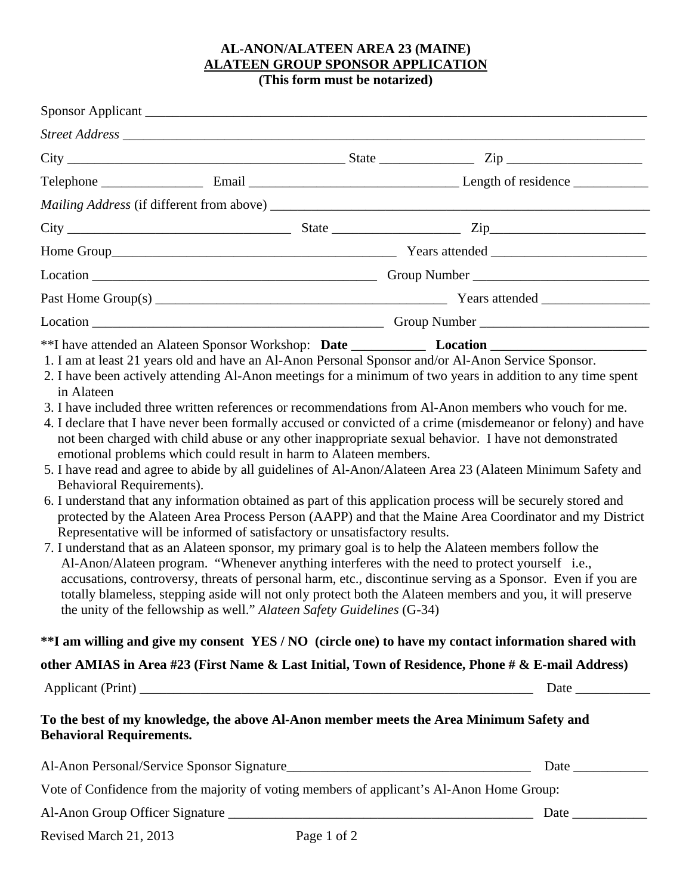## **AL-ANON/ALATEEN AREA 23 (MAINE) ALATEEN GROUP SPONSOR APPLICATION**

**(This form must be notarized)**

| Sponsor Applicant                       |                                                                                                                                                                                                                                                                                                                                                                                                                                                                                                                                                                                                                                                                                                                                                                                                                                                                                                                                                                                                                                                                                                                                                                                                                                                                                                                                                                                                                                                               |  |  |  |
|-----------------------------------------|---------------------------------------------------------------------------------------------------------------------------------------------------------------------------------------------------------------------------------------------------------------------------------------------------------------------------------------------------------------------------------------------------------------------------------------------------------------------------------------------------------------------------------------------------------------------------------------------------------------------------------------------------------------------------------------------------------------------------------------------------------------------------------------------------------------------------------------------------------------------------------------------------------------------------------------------------------------------------------------------------------------------------------------------------------------------------------------------------------------------------------------------------------------------------------------------------------------------------------------------------------------------------------------------------------------------------------------------------------------------------------------------------------------------------------------------------------------|--|--|--|
|                                         | Street Address The Communication of the Communication of the Communication of the Communication of the Communication of the Communication of the Communication of the Communication of the Communication of the Communication                                                                                                                                                                                                                                                                                                                                                                                                                                                                                                                                                                                                                                                                                                                                                                                                                                                                                                                                                                                                                                                                                                                                                                                                                                 |  |  |  |
|                                         | $City$ $Zip$ $Zip$                                                                                                                                                                                                                                                                                                                                                                                                                                                                                                                                                                                                                                                                                                                                                                                                                                                                                                                                                                                                                                                                                                                                                                                                                                                                                                                                                                                                                                            |  |  |  |
|                                         |                                                                                                                                                                                                                                                                                                                                                                                                                                                                                                                                                                                                                                                                                                                                                                                                                                                                                                                                                                                                                                                                                                                                                                                                                                                                                                                                                                                                                                                               |  |  |  |
|                                         |                                                                                                                                                                                                                                                                                                                                                                                                                                                                                                                                                                                                                                                                                                                                                                                                                                                                                                                                                                                                                                                                                                                                                                                                                                                                                                                                                                                                                                                               |  |  |  |
|                                         | $City$ $2ip$ $2ip$                                                                                                                                                                                                                                                                                                                                                                                                                                                                                                                                                                                                                                                                                                                                                                                                                                                                                                                                                                                                                                                                                                                                                                                                                                                                                                                                                                                                                                            |  |  |  |
|                                         |                                                                                                                                                                                                                                                                                                                                                                                                                                                                                                                                                                                                                                                                                                                                                                                                                                                                                                                                                                                                                                                                                                                                                                                                                                                                                                                                                                                                                                                               |  |  |  |
|                                         |                                                                                                                                                                                                                                                                                                                                                                                                                                                                                                                                                                                                                                                                                                                                                                                                                                                                                                                                                                                                                                                                                                                                                                                                                                                                                                                                                                                                                                                               |  |  |  |
|                                         |                                                                                                                                                                                                                                                                                                                                                                                                                                                                                                                                                                                                                                                                                                                                                                                                                                                                                                                                                                                                                                                                                                                                                                                                                                                                                                                                                                                                                                                               |  |  |  |
|                                         |                                                                                                                                                                                                                                                                                                                                                                                                                                                                                                                                                                                                                                                                                                                                                                                                                                                                                                                                                                                                                                                                                                                                                                                                                                                                                                                                                                                                                                                               |  |  |  |
| in Alateen<br>Behavioral Requirements). | 2. I have been actively attending Al-Anon meetings for a minimum of two years in addition to any time spent<br>3. I have included three written references or recommendations from Al-Anon members who vouch for me.<br>4. I declare that I have never been formally accused or convicted of a crime (misdemeanor or felony) and have<br>not been charged with child abuse or any other inappropriate sexual behavior. I have not demonstrated<br>emotional problems which could result in harm to Alateen members.<br>5. I have read and agree to abide by all guidelines of Al-Anon/Alateen Area 23 (Alateen Minimum Safety and<br>6. I understand that any information obtained as part of this application process will be securely stored and<br>protected by the Alateen Area Process Person (AAPP) and that the Maine Area Coordinator and my District<br>Representative will be informed of satisfactory or unsatisfactory results.<br>7. I understand that as an Alateen sponsor, my primary goal is to help the Alateen members follow the<br>Al-Anon/Alateen program. "Whenever anything interferes with the need to protect yourself i.e.,<br>accusations, controversy, threats of personal harm, etc., discontinue serving as a Sponsor. Even if you are<br>totally blameless, stepping aside will not only protect both the Alateen members and you, it will preserve<br>the unity of the fellowship as well." Alateen Safety Guidelines (G-34) |  |  |  |
|                                         | **I am willing and give my consent YES / NO (circle one) to have my contact information shared with                                                                                                                                                                                                                                                                                                                                                                                                                                                                                                                                                                                                                                                                                                                                                                                                                                                                                                                                                                                                                                                                                                                                                                                                                                                                                                                                                           |  |  |  |
|                                         | other AMIAS in Area #23 (First Name & Last Initial, Town of Residence, Phone # & E-mail Address)                                                                                                                                                                                                                                                                                                                                                                                                                                                                                                                                                                                                                                                                                                                                                                                                                                                                                                                                                                                                                                                                                                                                                                                                                                                                                                                                                              |  |  |  |
|                                         |                                                                                                                                                                                                                                                                                                                                                                                                                                                                                                                                                                                                                                                                                                                                                                                                                                                                                                                                                                                                                                                                                                                                                                                                                                                                                                                                                                                                                                                               |  |  |  |
|                                         |                                                                                                                                                                                                                                                                                                                                                                                                                                                                                                                                                                                                                                                                                                                                                                                                                                                                                                                                                                                                                                                                                                                                                                                                                                                                                                                                                                                                                                                               |  |  |  |
| <b>Behavioral Requirements.</b>         | To the best of my knowledge, the above Al-Anon member meets the Area Minimum Safety and                                                                                                                                                                                                                                                                                                                                                                                                                                                                                                                                                                                                                                                                                                                                                                                                                                                                                                                                                                                                                                                                                                                                                                                                                                                                                                                                                                       |  |  |  |
|                                         |                                                                                                                                                                                                                                                                                                                                                                                                                                                                                                                                                                                                                                                                                                                                                                                                                                                                                                                                                                                                                                                                                                                                                                                                                                                                                                                                                                                                                                                               |  |  |  |
|                                         | Vote of Confidence from the majority of voting members of applicant's Al-Anon Home Group:                                                                                                                                                                                                                                                                                                                                                                                                                                                                                                                                                                                                                                                                                                                                                                                                                                                                                                                                                                                                                                                                                                                                                                                                                                                                                                                                                                     |  |  |  |

Revised March 21, 2013 Page 1 of 2